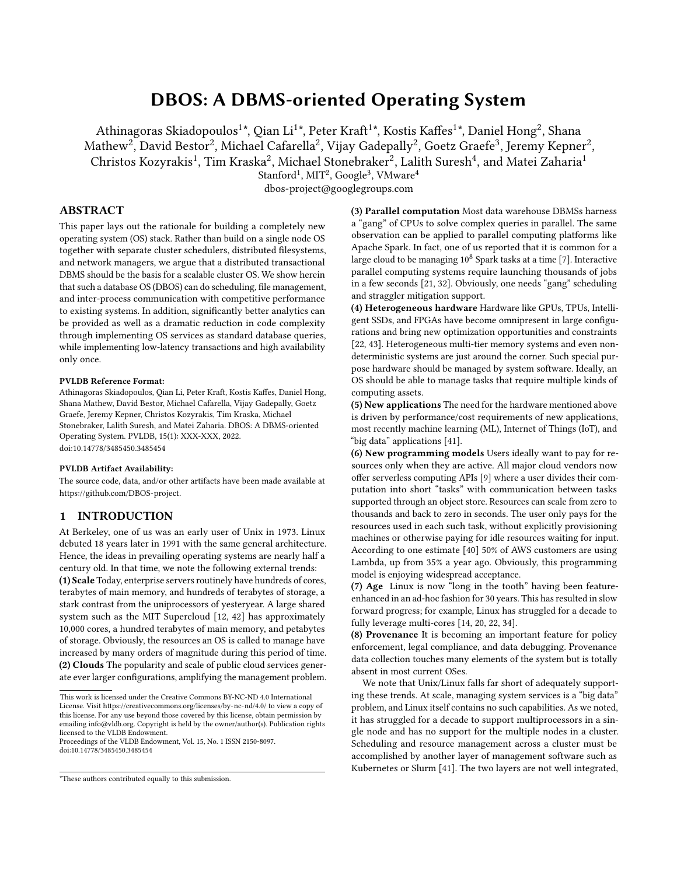# DBOS: A DBMS-oriented Operating System

Athinagoras Skiadopoulos $^{1*}$ , Qian Li $^{1*}$ , Peter Kraft $^{1*}$ , Kostis Kaffes $^{1*}$ , Daniel Hong $^{2}$ , Shana Mathew $^2$ , David Bestor $^2$ , Michael Cafarella $^2$ , Vijay Gadepally $^2$ , Goetz Graefe $^3$ , Jeremy Kepner $^2$ , Christos Kozyrakis<sup>1</sup>, Tim Kraska<sup>2</sup>, Michael Stonebraker<sup>2</sup>, Lalith Suresh<sup>4</sup>, and Matei Zaharia<sup>1</sup>  $\mathrm{Stanford}^1, \mathrm{MIT}^2, \mathrm{Google}^3, \mathrm{VMware}^4$ 

dbos-project@googlegroups.com

## ABSTRACT

This paper lays out the rationale for building a completely new operating system (OS) stack. Rather than build on a single node OS together with separate cluster schedulers, distributed filesystems, and network managers, we argue that a distributed transactional DBMS should be the basis for a scalable cluster OS. We show herein that such a database OS (DBOS) can do scheduling, file management, and inter-process communication with competitive performance to existing systems. In addition, significantly better analytics can be provided as well as a dramatic reduction in code complexity through implementing OS services as standard database queries, while implementing low-latency transactions and high availability only once.

#### PVLDB Reference Format:

Athinagoras Skiadopoulos, Qian Li, Peter Kraft, Kostis Kaffes, Daniel Hong, Shana Mathew, David Bestor, Michael Cafarella, Vijay Gadepally, Goetz Graefe, Jeremy Kepner, Christos Kozyrakis, Tim Kraska, Michael Stonebraker, Lalith Suresh, and Matei Zaharia. DBOS: A DBMS-oriented Operating System. PVLDB, 15(1): XXX-XXX, 2022. [doi:10.14778/3485450.3485454](https://doi.org/10.14778/3485450.3485454)

#### PVLDB Artifact Availability:

The source code, data, and/or other artifacts have been made available at [https://github.com/DBOS-project.](https://github.com/DBOS-project)

#### 1 INTRODUCTION

At Berkeley, one of us was an early user of Unix in 1973. Linux debuted 18 years later in 1991 with the same general architecture. Hence, the ideas in prevailing operating systems are nearly half a century old. In that time, we note the following external trends:

(1) Scale Today, enterprise servers routinely have hundreds of cores, terabytes of main memory, and hundreds of terabytes of storage, a stark contrast from the uniprocessors of yesteryear. A large shared system such as the MIT Supercloud [\[12,](#page-8-0) [42\]](#page-8-1) has approximately 10,000 cores, a hundred terabytes of main memory, and petabytes of storage. Obviously, the resources an OS is called to manage have increased by many orders of magnitude during this period of time. (2) Clouds The popularity and scale of public cloud services generate ever larger configurations, amplifying the management problem.

Proceedings of the VLDB Endowment, Vol. 15, No. 1 ISSN 2150-8097. [doi:10.14778/3485450.3485454](https://doi.org/10.14778/3485450.3485454)

(3) Parallel computation Most data warehouse DBMSs harness a "gang" of CPUs to solve complex queries in parallel. The same observation can be applied to parallel computing platforms like Apache Spark. In fact, one of us reported that it is common for a large cloud to be managing  $10^8$  Spark tasks at a time [\[7\]](#page-8-2). Interactive parallel computing systems require launching thousands of jobs in a few seconds [\[21,](#page-8-3) [32\]](#page-8-4). Obviously, one needs "gang" scheduling and straggler mitigation support.

(4) Heterogeneous hardware Hardware like GPUs, TPUs, Intelligent SSDs, and FPGAs have become omnipresent in large configurations and bring new optimization opportunities and constraints [\[22,](#page-8-5) [43\]](#page-8-6). Heterogeneous multi-tier memory systems and even nondeterministic systems are just around the corner. Such special purpose hardware should be managed by system software. Ideally, an OS should be able to manage tasks that require multiple kinds of computing assets.

(5) New applications The need for the hardware mentioned above is driven by performance/cost requirements of new applications, most recently machine learning (ML), Internet of Things (IoT), and "big data" applications [\[41\]](#page-8-7).

(6) New programming models Users ideally want to pay for resources only when they are active. All major cloud vendors now offer serverless computing APIs [\[9\]](#page-8-8) where a user divides their computation into short "tasks" with communication between tasks supported through an object store. Resources can scale from zero to thousands and back to zero in seconds. The user only pays for the resources used in each such task, without explicitly provisioning machines or otherwise paying for idle resources waiting for input. According to one estimate [\[40\]](#page-8-9) 50% of AWS customers are using Lambda, up from 35% a year ago. Obviously, this programming model is enjoying widespread acceptance.

(7) Age Linux is now "long in the tooth" having been featureenhanced in an ad-hoc fashion for 30 years. This has resulted in slow forward progress; for example, Linux has struggled for a decade to fully leverage multi-cores [\[14,](#page-8-10) [20,](#page-8-11) [22,](#page-8-5) [34\]](#page-8-12).

(8) Provenance It is becoming an important feature for policy enforcement, legal compliance, and data debugging. Provenance data collection touches many elements of the system but is totally absent in most current OSes.

We note that Unix/Linux falls far short of adequately supporting these trends. At scale, managing system services is a "big data" problem, and Linux itself contains no such capabilities. As we noted, it has struggled for a decade to support multiprocessors in a single node and has no support for the multiple nodes in a cluster. Scheduling and resource management across a cluster must be accomplished by another layer of management software such as Kubernetes or Slurm [\[41\]](#page-8-7). The two layers are not well integrated,

This work is licensed under the Creative Commons BY-NC-ND 4.0 International License. Visit<https://creativecommons.org/licenses/by-nc-nd/4.0/> to view a copy of this license. For any use beyond those covered by this license, obtain permission by emailing [info@vldb.org.](mailto:info@vldb.org) Copyright is held by the owner/author(s). Publication rights licensed to the VLDB Endowment.

<sup>\*</sup>These authors contributed equally to this submission.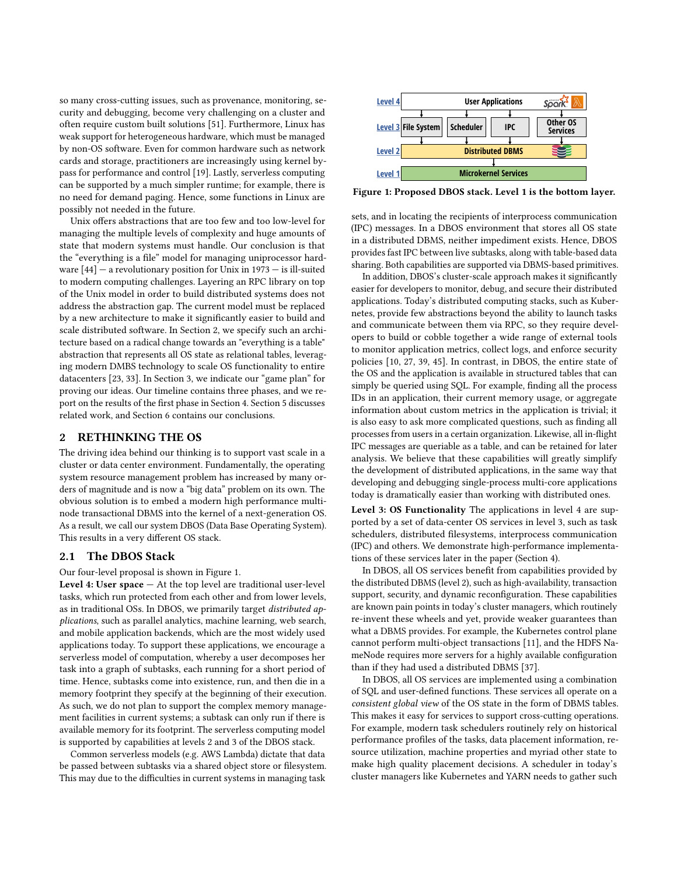so many cross-cutting issues, such as provenance, monitoring, security and debugging, become very challenging on a cluster and often require custom built solutions [\[51\]](#page-9-0). Furthermore, Linux has weak support for heterogeneous hardware, which must be managed by non-OS software. Even for common hardware such as network cards and storage, practitioners are increasingly using kernel bypass for performance and control [\[19\]](#page-8-13). Lastly, serverless computing can be supported by a much simpler runtime; for example, there is no need for demand paging. Hence, some functions in Linux are possibly not needed in the future.

Unix offers abstractions that are too few and too low-level for managing the multiple levels of complexity and huge amounts of state that modern systems must handle. Our conclusion is that the "everything is a file" model for managing uniprocessor hardware  $[44]$  – a revolutionary position for Unix in 1973 – is ill-suited to modern computing challenges. Layering an RPC library on top of the Unix model in order to build distributed systems does not address the abstraction gap. The current model must be replaced by a new architecture to make it significantly easier to build and scale distributed software. In Section [2,](#page-1-0) we specify such an architecture based on a radical change towards an "everything is a table" abstraction that represents all OS state as relational tables, leveraging modern DMBS technology to scale OS functionality to entire datacenters [\[23,](#page-8-15) [33\]](#page-8-16). In Section [3,](#page-2-0) we indicate our "game plan" for proving our ideas. Our timeline contains three phases, and we report on the results of the first phase in Section [4.](#page-3-0) Section [5](#page-7-0) discusses related work, and Section [6](#page-7-1) contains our conclusions.

# <span id="page-1-0"></span>2 RETHINKING THE OS

The driving idea behind our thinking is to support vast scale in a cluster or data center environment. Fundamentally, the operating system resource management problem has increased by many orders of magnitude and is now a "big data" problem on its own. The obvious solution is to embed a modern high performance multinode transactional DBMS into the kernel of a next-generation OS. As a result, we call our system DBOS (Data Base Operating System). This results in a very different OS stack.

#### 2.1 The DBOS Stack

Our four-level proposal is shown in Figure [1.](#page-1-1)

Level 4: User  $space - At$  the top level are traditional user-level tasks, which run protected from each other and from lower levels, as in traditional OSs. In DBOS, we primarily target distributed applications, such as parallel analytics, machine learning, web search, and mobile application backends, which are the most widely used applications today. To support these applications, we encourage a serverless model of computation, whereby a user decomposes her task into a graph of subtasks, each running for a short period of time. Hence, subtasks come into existence, run, and then die in a memory footprint they specify at the beginning of their execution. As such, we do not plan to support the complex memory management facilities in current systems; a subtask can only run if there is available memory for its footprint. The serverless computing model is supported by capabilities at levels 2 and 3 of the DBOS stack.

Common serverless models (e.g. AWS Lambda) dictate that data be passed between subtasks via a shared object store or filesystem. This may due to the difficulties in current systems in managing task

<span id="page-1-1"></span>

Figure 1: Proposed DBOS stack. Level 1 is the bottom layer.

sets, and in locating the recipients of interprocess communication (IPC) messages. In a DBOS environment that stores all OS state in a distributed DBMS, neither impediment exists. Hence, DBOS provides fast IPC between live subtasks, along with table-based data sharing. Both capabilities are supported via DBMS-based primitives.

In addition, DBOS's cluster-scale approach makes it significantly easier for developers to monitor, debug, and secure their distributed applications. Today's distributed computing stacks, such as Kubernetes, provide few abstractions beyond the ability to launch tasks and communicate between them via RPC, so they require developers to build or cobble together a wide range of external tools to monitor application metrics, collect logs, and enforce security policies [\[10,](#page-8-17) [27,](#page-8-18) [39,](#page-8-19) [45\]](#page-8-20). In contrast, in DBOS, the entire state of the OS and the application is available in structured tables that can simply be queried using SQL. For example, finding all the process IDs in an application, their current memory usage, or aggregate information about custom metrics in the application is trivial; it is also easy to ask more complicated questions, such as finding all processes from users in a certain organization. Likewise, all in-flight IPC messages are queriable as a table, and can be retained for later analysis. We believe that these capabilities will greatly simplify the development of distributed applications, in the same way that developing and debugging single-process multi-core applications today is dramatically easier than working with distributed ones.

Level 3: OS Functionality The applications in level 4 are supported by a set of data-center OS services in level 3, such as task schedulers, distributed filesystems, interprocess communication (IPC) and others. We demonstrate high-performance implementations of these services later in the paper (Section [4\)](#page-3-0).

In DBOS, all OS services benefit from capabilities provided by the distributed DBMS (level 2), such as high-availability, transaction support, security, and dynamic reconfiguration. These capabilities are known pain points in today's cluster managers, which routinely re-invent these wheels and yet, provide weaker guarantees than what a DBMS provides. For example, the Kubernetes control plane cannot perform multi-object transactions [\[11\]](#page-8-21), and the HDFS NameNode requires more servers for a highly available configuration than if they had used a distributed DBMS [\[37\]](#page-8-22).

In DBOS, all OS services are implemented using a combination of SQL and user-defined functions. These services all operate on a consistent global view of the OS state in the form of DBMS tables. This makes it easy for services to support cross-cutting operations. For example, modern task schedulers routinely rely on historical performance profiles of the tasks, data placement information, resource utilization, machine properties and myriad other state to make high quality placement decisions. A scheduler in today's cluster managers like Kubernetes and YARN needs to gather such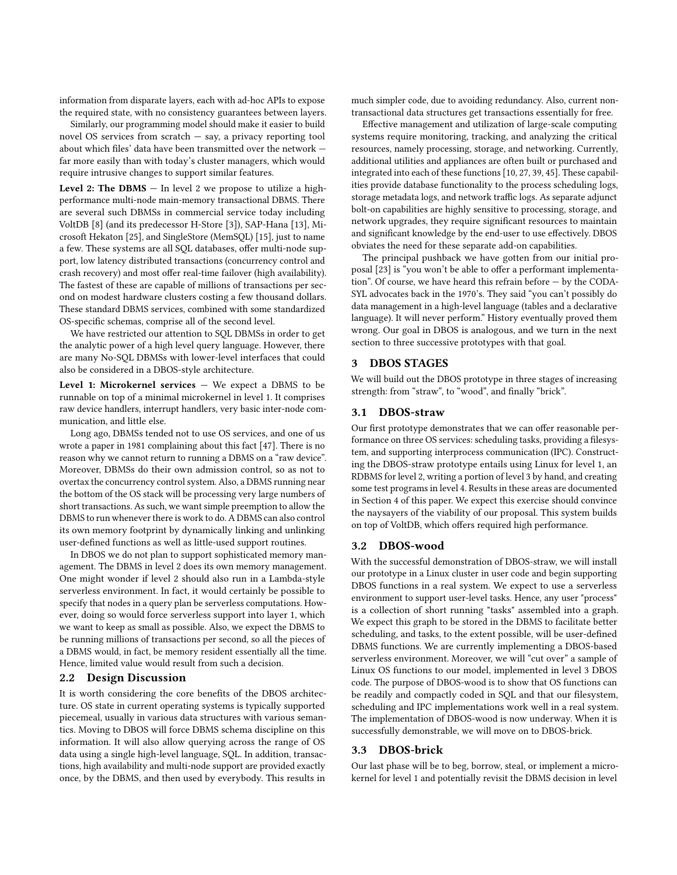information from disparate layers, each with ad-hoc APIs to expose the required state, with no consistency guarantees between layers.

Similarly, our programming model should make it easier to build novel OS services from scratch — say, a privacy reporting tool about which files' data have been transmitted over the network far more easily than with today's cluster managers, which would require intrusive changes to support similar features.

Level 2: The DBMS  $-$  In level 2 we propose to utilize a highperformance multi-node main-memory transactional DBMS. There are several such DBMSs in commercial service today including VoltDB [\[8\]](#page-8-23) (and its predecessor H-Store [\[3\]](#page-8-24)), SAP-Hana [\[13\]](#page-8-25), Microsoft Hekaton [\[25\]](#page-8-26), and SingleStore (MemSQL) [\[15\]](#page-8-27), just to name a few. These systems are all SQL databases, offer multi-node support, low latency distributed transactions (concurrency control and crash recovery) and most offer real-time failover (high availability). The fastest of these are capable of millions of transactions per second on modest hardware clusters costing a few thousand dollars. These standard DBMS services, combined with some standardized OS-specific schemas, comprise all of the second level.

We have restricted our attention to SQL DBMSs in order to get the analytic power of a high level query language. However, there are many No-SQL DBMSs with lower-level interfaces that could also be considered in a DBOS-style architecture.

Level 1: Microkernel services  $-$  We expect a DBMS to be runnable on top of a minimal microkernel in level 1. It comprises raw device handlers, interrupt handlers, very basic inter-node communication, and little else.

Long ago, DBMSs tended not to use OS services, and one of us wrote a paper in 1981 complaining about this fact [\[47\]](#page-8-28). There is no reason why we cannot return to running a DBMS on a "raw device". Moreover, DBMSs do their own admission control, so as not to overtax the concurrency control system. Also, a DBMS running near the bottom of the OS stack will be processing very large numbers of short transactions. As such, we want simple preemption to allow the DBMS to run whenever there is work to do. A DBMS can also control its own memory footprint by dynamically linking and unlinking user-defined functions as well as little-used support routines.

In DBOS we do not plan to support sophisticated memory management. The DBMS in level 2 does its own memory management. One might wonder if level 2 should also run in a Lambda-style serverless environment. In fact, it would certainly be possible to specify that nodes in a query plan be serverless computations. However, doing so would force serverless support into layer 1, which we want to keep as small as possible. Also, we expect the DBMS to be running millions of transactions per second, so all the pieces of a DBMS would, in fact, be memory resident essentially all the time. Hence, limited value would result from such a decision.

#### 2.2 Design Discussion

It is worth considering the core benefits of the DBOS architecture. OS state in current operating systems is typically supported piecemeal, usually in various data structures with various semantics. Moving to DBOS will force DBMS schema discipline on this information. It will also allow querying across the range of OS data using a single high-level language, SQL. In addition, transactions, high availability and multi-node support are provided exactly once, by the DBMS, and then used by everybody. This results in

much simpler code, due to avoiding redundancy. Also, current nontransactional data structures get transactions essentially for free.

Effective management and utilization of large-scale computing systems require monitoring, tracking, and analyzing the critical resources, namely processing, storage, and networking. Currently, additional utilities and appliances are often built or purchased and integrated into each of these functions [\[10,](#page-8-17) [27,](#page-8-18) [39,](#page-8-19) [45\]](#page-8-20). These capabilities provide database functionality to the process scheduling logs, storage metadata logs, and network traffic logs. As separate adjunct bolt-on capabilities are highly sensitive to processing, storage, and network upgrades, they require significant resources to maintain and significant knowledge by the end-user to use effectively. DBOS obviates the need for these separate add-on capabilities.

The principal pushback we have gotten from our initial proposal [\[23\]](#page-8-15) is "you won't be able to offer a performant implementation". Of course, we have heard this refrain before — by the CODA-SYL advocates back in the 1970's. They said "you can't possibly do data management in a high-level language (tables and a declarative language). It will never perform." History eventually proved them wrong. Our goal in DBOS is analogous, and we turn in the next section to three successive prototypes with that goal.

# <span id="page-2-0"></span>3 DBOS STAGES

We will build out the DBOS prototype in three stages of increasing strength: from "straw", to "wood", and finally "brick".

#### 3.1 DBOS-straw

Our first prototype demonstrates that we can offer reasonable performance on three OS services: scheduling tasks, providing a filesystem, and supporting interprocess communication (IPC). Constructing the DBOS-straw prototype entails using Linux for level 1, an RDBMS for level 2, writing a portion of level 3 by hand, and creating some test programs in level 4. Results in these areas are documented in Section [4](#page-3-0) of this paper. We expect this exercise should convince the naysayers of the viability of our proposal. This system builds on top of VoltDB, which offers required high performance.

# 3.2 DBOS-wood

With the successful demonstration of DBOS-straw, we will install our prototype in a Linux cluster in user code and begin supporting DBOS functions in a real system. We expect to use a serverless environment to support user-level tasks. Hence, any user "process" is a collection of short running "tasks" assembled into a graph. We expect this graph to be stored in the DBMS to facilitate better scheduling, and tasks, to the extent possible, will be user-defined DBMS functions. We are currently implementing a DBOS-based serverless environment. Moreover, we will "cut over" a sample of Linux OS functions to our model, implemented in level 3 DBOS code. The purpose of DBOS-wood is to show that OS functions can be readily and compactly coded in SQL and that our filesystem, scheduling and IPC implementations work well in a real system. The implementation of DBOS-wood is now underway. When it is successfully demonstrable, we will move on to DBOS-brick.

#### 3.3 DBOS-brick

Our last phase will be to beg, borrow, steal, or implement a microkernel for level 1 and potentially revisit the DBMS decision in level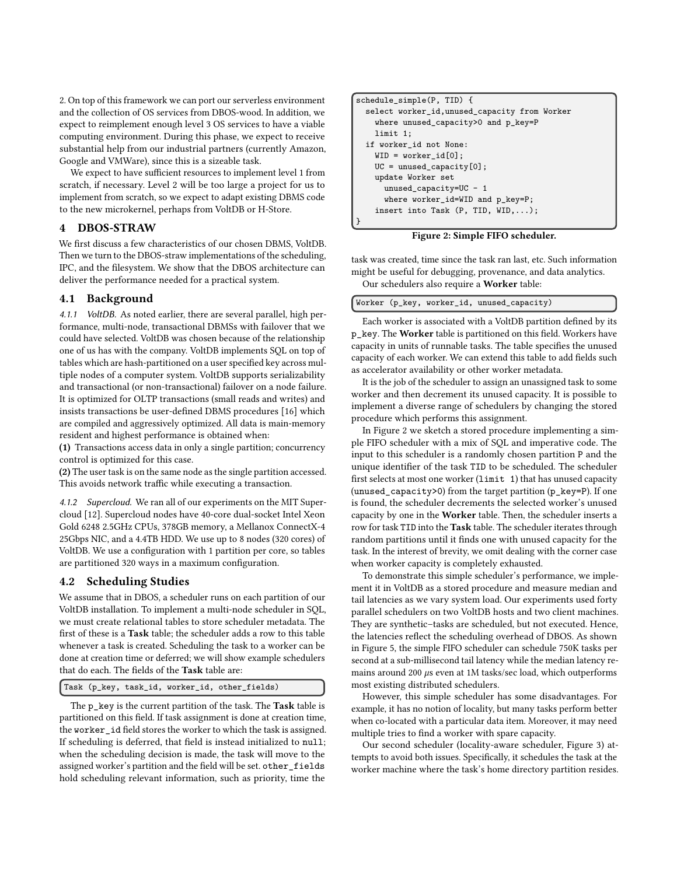2. On top of this framework we can port our serverless environment and the collection of OS services from DBOS-wood. In addition, we expect to reimplement enough level 3 OS services to have a viable computing environment. During this phase, we expect to receive substantial help from our industrial partners (currently Amazon, Google and VMWare), since this is a sizeable task.

We expect to have sufficient resources to implement level 1 from scratch, if necessary. Level 2 will be too large a project for us to implement from scratch, so we expect to adapt existing DBMS code to the new microkernel, perhaps from VoltDB or H-Store.

# <span id="page-3-0"></span>4 DBOS-STRAW

We first discuss a few characteristics of our chosen DBMS, VoltDB. Then we turn to the DBOS-straw implementations of the scheduling, IPC, and the filesystem. We show that the DBOS architecture can deliver the performance needed for a practical system.

#### 4.1 Background

4.1.1 VoltDB. As noted earlier, there are several parallel, high performance, multi-node, transactional DBMSs with failover that we could have selected. VoltDB was chosen because of the relationship one of us has with the company. VoltDB implements SQL on top of tables which are hash-partitioned on a user specified key across multiple nodes of a computer system. VoltDB supports serializability and transactional (or non-transactional) failover on a node failure. It is optimized for OLTP transactions (small reads and writes) and insists transactions be user-defined DBMS procedures [\[16\]](#page-8-29) which are compiled and aggressively optimized. All data is main-memory resident and highest performance is obtained when:

(1) Transactions access data in only a single partition; concurrency control is optimized for this case.

(2) The user task is on the same node as the single partition accessed. This avoids network traffic while executing a transaction.

4.1.2 Supercloud. We ran all of our experiments on the MIT Supercloud [\[12\]](#page-8-0). Supercloud nodes have 40-core dual-socket Intel Xeon Gold 6248 2.5GHz CPUs, 378GB memory, a Mellanox ConnectX-4 25Gbps NIC, and a 4.4TB HDD. We use up to 8 nodes (320 cores) of VoltDB. We use a configuration with 1 partition per core, so tables are partitioned 320 ways in a maximum configuration.

# 4.2 Scheduling Studies

We assume that in DBOS, a scheduler runs on each partition of our VoltDB installation. To implement a multi-node scheduler in SQL, we must create relational tables to store scheduler metadata. The first of these is a Task table; the scheduler adds a row to this table whenever a task is created. Scheduling the task to a worker can be done at creation time or deferred; we will show example schedulers that do each. The fields of the Task table are:

Task (p\_key, task\_id, worker\_id, other\_fields)

The p\_key is the current partition of the task. The Task table is partitioned on this field. If task assignment is done at creation time, the worker\_id field stores the worker to which the task is assigned. If scheduling is deferred, that field is instead initialized to null; when the scheduling decision is made, the task will move to the assigned worker's partition and the field will be set. other\_fields hold scheduling relevant information, such as priority, time the

```
schedule_simple(P, TID) {
 select worker_id,unused_capacity from Worker
   where unused_capacity>0 and p_key=P
   limit 1;
 if worker_id not None:
   WID = worker_id[0]:UC = unused_capacity[0];
   update Worker set
     unused_capacity=UC - 1
     where worker_id=WID and p_key=P;
   insert into Task (P, TID, WID,...);
}
```
#### Figure 2: Simple FIFO scheduler.

task was created, time since the task ran last, etc. Such information might be useful for debugging, provenance, and data analytics. Our schedulers also require a Worker table:

Worker (p\_key, worker\_id, unused\_capacity)

Each worker is associated with a VoltDB partition defined by its p\_key. The Worker table is partitioned on this field. Workers have capacity in units of runnable tasks. The table specifies the unused capacity of each worker. We can extend this table to add fields such as accelerator availability or other worker metadata.

It is the job of the scheduler to assign an unassigned task to some worker and then decrement its unused capacity. It is possible to implement a diverse range of schedulers by changing the stored procedure which performs this assignment.

In Figure [2](#page-3-1) we sketch a stored procedure implementing a simple FIFO scheduler with a mix of SQL and imperative code. The input to this scheduler is a randomly chosen partition P and the unique identifier of the task TID to be scheduled. The scheduler first selects at most one worker (limit 1) that has unused capacity (unused\_capacity>0) from the target partition (p\_key=P). If one is found, the scheduler decrements the selected worker's unused capacity by one in the Worker table. Then, the scheduler inserts a row for task TID into the Task table. The scheduler iterates through random partitions until it finds one with unused capacity for the task. In the interest of brevity, we omit dealing with the corner case when worker capacity is completely exhausted.

To demonstrate this simple scheduler's performance, we implement it in VoltDB as a stored procedure and measure median and tail latencies as we vary system load. Our experiments used forty parallel schedulers on two VoltDB hosts and two client machines. They are synthetic–tasks are scheduled, but not executed. Hence, the latencies reflect the scheduling overhead of DBOS. As shown in Figure [5,](#page-4-0) the simple FIFO scheduler can schedule 750K tasks per second at a sub-millisecond tail latency while the median latency remains around 200  $\mu$ s even at 1M tasks/sec load, which outperforms most existing distributed schedulers.

However, this simple scheduler has some disadvantages. For example, it has no notion of locality, but many tasks perform better when co-located with a particular data item. Moreover, it may need multiple tries to find a worker with spare capacity.

Our second scheduler (locality-aware scheduler, Figure [3\)](#page-4-1) attempts to avoid both issues. Specifically, it schedules the task at the worker machine where the task's home directory partition resides.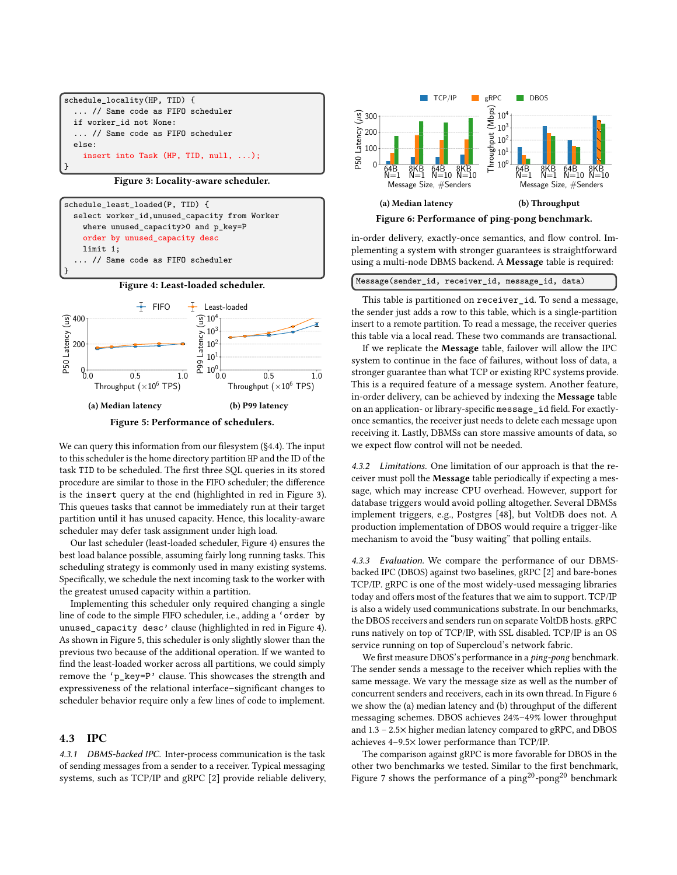```
schedule_locality(HP, TID) {
  ... // Same code as FIFO scheduler
  if worker_id not None:
  ... // Same code as FIFO scheduler
  else:
    insert into Task (HP, TID, null, ...);
}
```
Figure 3: Locality-aware scheduler.

<span id="page-4-2"></span>

Figure 4: Least-loaded scheduler.

<span id="page-4-0"></span>

We can query this information from our filesystem ([§4.4\)](#page-5-0). The input to this scheduler is the home directory partition HP and the ID of the task TID to be scheduled. The first three SQL queries in its stored procedure are similar to those in the FIFO scheduler; the difference is the insert query at the end (highlighted in red in Figure [3\)](#page-4-1). This queues tasks that cannot be immediately run at their target partition until it has unused capacity. Hence, this locality-aware scheduler may defer task assignment under high load.

Our last scheduler (least-loaded scheduler, Figure [4\)](#page-4-2) ensures the best load balance possible, assuming fairly long running tasks. This scheduling strategy is commonly used in many existing systems. Specifically, we schedule the next incoming task to the worker with the greatest unused capacity within a partition.

Implementing this scheduler only required changing a single line of code to the simple FIFO scheduler, i.e., adding a 'order by unused\_capacity desc' clause (highlighted in red in Figure [4\)](#page-4-2). As shown in Figure [5,](#page-4-0) this scheduler is only slightly slower than the previous two because of the additional operation. If we wanted to find the least-loaded worker across all partitions, we could simply remove the 'p\_key=P' clause. This showcases the strength and expressiveness of the relational interface–significant changes to scheduler behavior require only a few lines of code to implement.

#### 4.3 IPC

4.3.1 DBMS-backed IPC. Inter-process communication is the task of sending messages from a sender to a receiver. Typical messaging systems, such as TCP/IP and gRPC [\[2\]](#page-8-30) provide reliable delivery,

<span id="page-4-3"></span>

in-order delivery, exactly-once semantics, and flow control. Implementing a system with stronger guarantees is straightforward using a multi-node DBMS backend. A Message table is required:

This table is partitioned on receiver\_id. To send a message, the sender just adds a row to this table, which is a single-partition insert to a remote partition. To read a message, the receiver queries this table via a local read. These two commands are transactional.

If we replicate the Message table, failover will allow the IPC system to continue in the face of failures, without loss of data, a stronger guarantee than what TCP or existing RPC systems provide. This is a required feature of a message system. Another feature, in-order delivery, can be achieved by indexing the Message table on an application- or library-specific message\_id field. For exactlyonce semantics, the receiver just needs to delete each message upon receiving it. Lastly, DBMSs can store massive amounts of data, so we expect flow control will not be needed.

4.3.2 Limitations. One limitation of our approach is that the receiver must poll the Message table periodically if expecting a message, which may increase CPU overhead. However, support for database triggers would avoid polling altogether. Several DBMSs implement triggers, e.g., Postgres [\[48\]](#page-8-31), but VoltDB does not. A production implementation of DBOS would require a trigger-like mechanism to avoid the "busy waiting" that polling entails.

4.3.3 Evaluation. We compare the performance of our DBMSbacked IPC (DBOS) against two baselines, gRPC [\[2\]](#page-8-30) and bare-bones TCP/IP. gRPC is one of the most widely-used messaging libraries today and offers most of the features that we aim to support. TCP/IP is also a widely used communications substrate. In our benchmarks, the DBOS receivers and senders run on separate VoltDB hosts. gRPC runs natively on top of TCP/IP, with SSL disabled. TCP/IP is an OS service running on top of Supercloud's network fabric.

We first measure DBOS's performance in a ping-pong benchmark. The sender sends a message to the receiver which replies with the same message. We vary the message size as well as the number of concurrent senders and receivers, each in its own thread. In Figure [6](#page-4-3) we show the (a) median latency and (b) throughput of the different messaging schemes. DBOS achieves 24%–49% lower throughput and 1.3 – 2.5× higher median latency compared to gRPC, and DBOS achieves 4–9.5× lower performance than TCP/IP.

The comparison against gRPC is more favorable for DBOS in the other two benchmarks we tested. Similar to the first benchmark, Figure [7](#page-5-1) shows the performance of a  $\text{ping}^{20}$ -pong<sup>20</sup> benchmark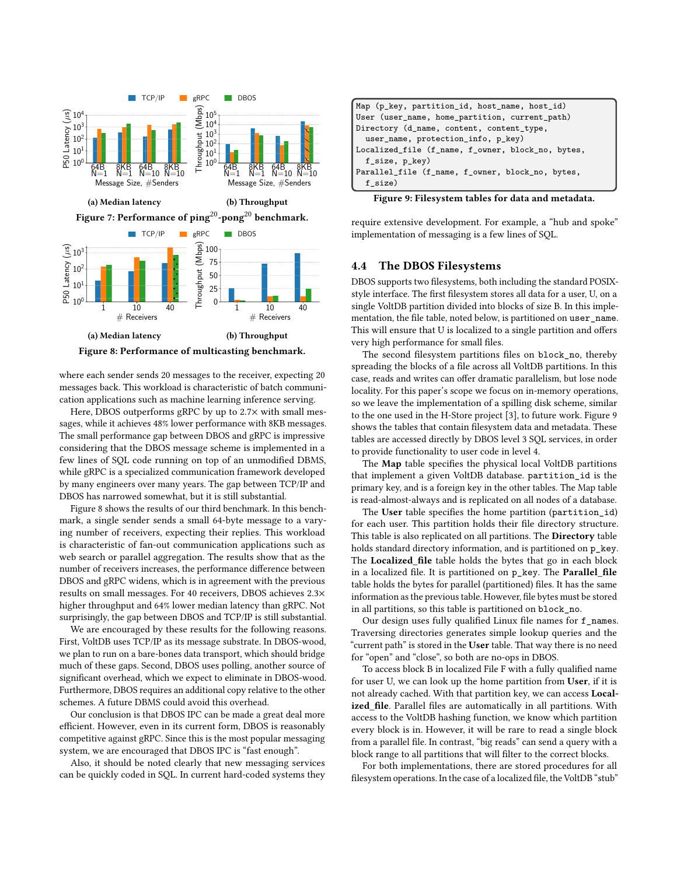<span id="page-5-2"></span><span id="page-5-1"></span>

where each sender sends 20 messages to the receiver, expecting 20 messages back. This workload is characteristic of batch communication applications such as machine learning inference serving.

Here, DBOS outperforms gRPC by up to 2.7× with small messages, while it achieves 48% lower performance with 8KB messages. The small performance gap between DBOS and gRPC is impressive considering that the DBOS message scheme is implemented in a few lines of SQL code running on top of an unmodified DBMS, while gRPC is a specialized communication framework developed by many engineers over many years. The gap between TCP/IP and DBOS has narrowed somewhat, but it is still substantial.

Figure [8](#page-5-2) shows the results of our third benchmark. In this benchmark, a single sender sends a small 64-byte message to a varying number of receivers, expecting their replies. This workload is characteristic of fan-out communication applications such as web search or parallel aggregation. The results show that as the number of receivers increases, the performance difference between DBOS and gRPC widens, which is in agreement with the previous results on small messages. For 40 receivers, DBOS achieves 2.3× higher throughput and 64% lower median latency than gRPC. Not surprisingly, the gap between DBOS and TCP/IP is still substantial.

We are encouraged by these results for the following reasons. First, VoltDB uses TCP/IP as its message substrate. In DBOS-wood, we plan to run on a bare-bones data transport, which should bridge much of these gaps. Second, DBOS uses polling, another source of significant overhead, which we expect to eliminate in DBOS-wood. Furthermore, DBOS requires an additional copy relative to the other schemes. A future DBMS could avoid this overhead.

Our conclusion is that DBOS IPC can be made a great deal more efficient. However, even in its current form, DBOS is reasonably competitive against gRPC. Since this is the most popular messaging system, we are encouraged that DBOS IPC is "fast enough".

Also, it should be noted clearly that new messaging services can be quickly coded in SQL. In current hard-coded systems they

<span id="page-5-3"></span>

| Map (p_key, partition_id, host_name, host_id)     |  |  |
|---------------------------------------------------|--|--|
| User (user_name, home_partition, current_path)    |  |  |
| Directory (d_name, content, content_type,         |  |  |
| user_name, protection_info, p_key)                |  |  |
| Localized_file (f_name, f_owner, block_no, bytes, |  |  |
| f_size, p_key)                                    |  |  |
| Parallel_file (f_name, f_owner, block_no, bytes,  |  |  |
| f size)                                           |  |  |

Figure 9: Filesystem tables for data and metadata.

require extensive development. For example, a "hub and spoke" implementation of messaging is a few lines of SQL.

# <span id="page-5-0"></span>4.4 The DBOS Filesystems

DBOS supports two filesystems, both including the standard POSIXstyle interface. The first filesystem stores all data for a user, U, on a single VoltDB partition divided into blocks of size B. In this implementation, the file table, noted below, is partitioned on user\_name. This will ensure that U is localized to a single partition and offers very high performance for small files.

The second filesystem partitions files on block\_no, thereby spreading the blocks of a file across all VoltDB partitions. In this case, reads and writes can offer dramatic parallelism, but lose node locality. For this paper's scope we focus on in-memory operations, so we leave the implementation of a spilling disk scheme, similar to the one used in the H-Store project [\[3\]](#page-8-24), to future work. Figure [9](#page-5-3) shows the tables that contain filesystem data and metadata. These tables are accessed directly by DBOS level 3 SQL services, in order to provide functionality to user code in level 4.

The Map table specifies the physical local VoltDB partitions that implement a given VoltDB database. partition\_id is the primary key, and is a foreign key in the other tables. The Map table is read-almost-always and is replicated on all nodes of a database.

The User table specifies the home partition (partition\_id) for each user. This partition holds their file directory structure. This table is also replicated on all partitions. The Directory table holds standard directory information, and is partitioned on  $p$ <sub>\_</sub>key. The Localized\_file table holds the bytes that go in each block in a localized file. It is partitioned on p\_key. The Parallel\_file table holds the bytes for parallel (partitioned) files. It has the same information as the previous table. However, file bytes must be stored in all partitions, so this table is partitioned on block\_no.

Our design uses fully qualified Linux file names for f\_names. Traversing directories generates simple lookup queries and the "current path" is stored in the User table. That way there is no need for "open" and "close", so both are no-ops in DBOS.

To access block B in localized File F with a fully qualified name for user U, we can look up the home partition from User, if it is not already cached. With that partition key, we can access Localized\_file. Parallel files are automatically in all partitions. With access to the VoltDB hashing function, we know which partition every block is in. However, it will be rare to read a single block from a parallel file. In contrast, "big reads" can send a query with a block range to all partitions that will filter to the correct blocks.

For both implementations, there are stored procedures for all filesystem operations. In the case of a localized file, the VoltDB "stub"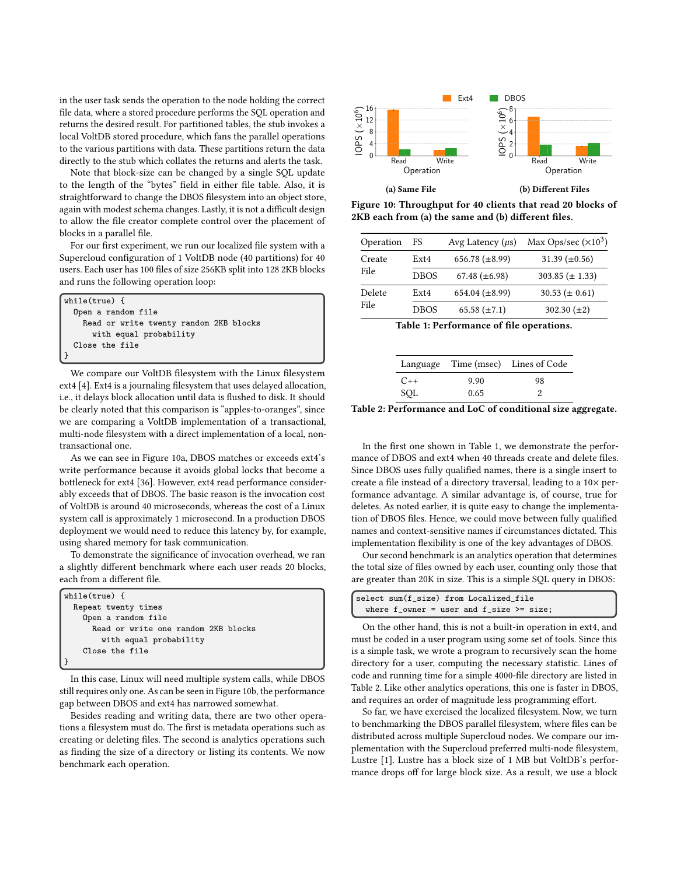in the user task sends the operation to the node holding the correct file data, where a stored procedure performs the SQL operation and returns the desired result. For partitioned tables, the stub invokes a local VoltDB stored procedure, which fans the parallel operations to the various partitions with data. These partitions return the data directly to the stub which collates the returns and alerts the task.

Note that block-size can be changed by a single SQL update to the length of the "bytes" field in either file table. Also, it is straightforward to change the DBOS filesystem into an object store, again with modest schema changes. Lastly, it is not a difficult design to allow the file creator complete control over the placement of blocks in a parallel file.

For our first experiment, we run our localized file system with a Supercloud configuration of 1 VoltDB node (40 partitions) for 40 users. Each user has 100 files of size 256KB split into 128 2KB blocks and runs the following operation loop:

```
while(true) {
  Open a random file
    Read or write twenty random 2KB blocks
      with equal probability
  Close the file
}
```
We compare our VoltDB filesystem with the Linux filesystem ext4 [\[4\]](#page-8-32). Ext4 is a journaling filesystem that uses delayed allocation, i.e., it delays block allocation until data is flushed to disk. It should be clearly noted that this comparison is "apples-to-oranges", since we are comparing a VoltDB implementation of a transactional, multi-node filesystem with a direct implementation of a local, nontransactional one.

As we can see in Figure [10a,](#page-6-0) DBOS matches or exceeds ext4's write performance because it avoids global locks that become a bottleneck for ext4 [\[36\]](#page-8-33). However, ext4 read performance considerably exceeds that of DBOS. The basic reason is the invocation cost of VoltDB is around 40 microseconds, whereas the cost of a Linux system call is approximately 1 microsecond. In a production DBOS deployment we would need to reduce this latency by, for example, using shared memory for task communication.

To demonstrate the significance of invocation overhead, we ran a slightly different benchmark where each user reads 20 blocks, each from a different file.

| while(true) $\{$                    |
|-------------------------------------|
| Repeat twenty times                 |
| Open a random file                  |
| Read or write one random 2KB blocks |
| with equal probability              |
| Close the file                      |
|                                     |

In this case, Linux will need multiple system calls, while DBOS still requires only one. As can be seen in Figure [10b,](#page-6-0) the performance gap between DBOS and ext4 has narrowed somewhat.

Besides reading and writing data, there are two other operations a filesystem must do. The first is metadata operations such as creating or deleting files. The second is analytics operations such as finding the size of a directory or listing its contents. We now benchmark each operation.

<span id="page-6-0"></span>



<span id="page-6-1"></span>

| Operation      | FS               | Avg Latency $(\mu s)$ | Max Ops/sec $(\times 10^3)$ |
|----------------|------------------|-----------------------|-----------------------------|
| Create<br>File | Ex <sub>14</sub> | 656.78 $(\pm 8.99)$   | 31.39 $(\pm 0.56)$          |
|                | <b>DBOS</b>      | 67.48 $(\pm 6.98)$    | $303.85 (\pm 1.33)$         |
| Delete<br>File | Ex <sub>14</sub> | 654.04 $(\pm 8.99)$   | $30.53 \ (\pm 0.61)$        |
|                | <b>DBOS</b>      | $65.58 (\pm 7.1)$     | 302.30 $(\pm 2)$            |

Table 1: Performance of file operations.

<span id="page-6-2"></span>

|       |      | Language Time (msec) Lines of Code |
|-------|------|------------------------------------|
| $C++$ | 9.90 | 98                                 |
| SQL   | 0.65 |                                    |

Table 2: Performance and LoC of conditional size aggregate.

In the first one shown in Table [1,](#page-6-1) we demonstrate the performance of DBOS and ext4 when 40 threads create and delete files. Since DBOS uses fully qualified names, there is a single insert to create a file instead of a directory traversal, leading to a 10× performance advantage. A similar advantage is, of course, true for deletes. As noted earlier, it is quite easy to change the implementation of DBOS files. Hence, we could move between fully qualified names and context-sensitive names if circumstances dictated. This implementation flexibility is one of the key advantages of DBOS.

Our second benchmark is an analytics operation that determines the total size of files owned by each user, counting only those that are greater than 20K in size. This is a simple SQL query in DBOS:

| select sum(f size) from Localized file                |
|-------------------------------------------------------|
| where $f$ owner = user and $f$ size $\rangle$ = size; |

On the other hand, this is not a built-in operation in ext4, and must be coded in a user program using some set of tools. Since this is a simple task, we wrote a program to recursively scan the home directory for a user, computing the necessary statistic. Lines of code and running time for a simple 4000-file directory are listed in Table [2.](#page-6-2) Like other analytics operations, this one is faster in DBOS, and requires an order of magnitude less programming effort.

So far, we have exercised the localized filesystem. Now, we turn to benchmarking the DBOS parallel filesystem, where files can be distributed across multiple Supercloud nodes. We compare our implementation with the Supercloud preferred multi-node filesystem, Lustre [\[1\]](#page-8-34). Lustre has a block size of 1 MB but VoltDB's performance drops off for large block size. As a result, we use a block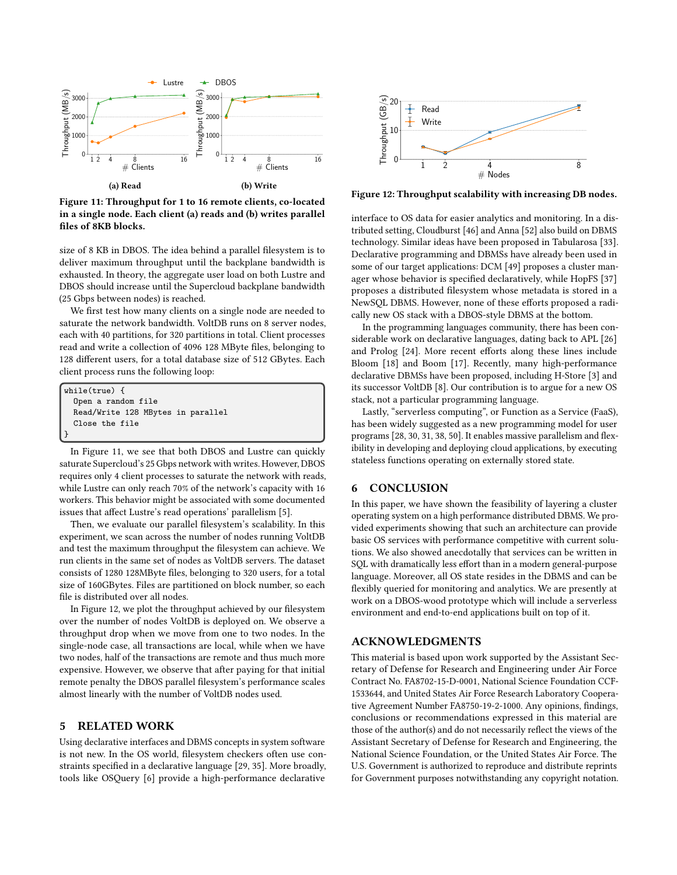<span id="page-7-2"></span>

Figure 11: Throughput for 1 to 16 remote clients, co-located in a single node. Each client (a) reads and (b) writes parallel files of 8KB blocks.

size of 8 KB in DBOS. The idea behind a parallel filesystem is to deliver maximum throughput until the backplane bandwidth is exhausted. In theory, the aggregate user load on both Lustre and DBOS should increase until the Supercloud backplane bandwidth (25 Gbps between nodes) is reached.

We first test how many clients on a single node are needed to saturate the network bandwidth. VoltDB runs on 8 server nodes, each with 40 partitions, for 320 partitions in total. Client processes read and write a collection of 4096 128 MByte files, belonging to 128 different users, for a total database size of 512 GBytes. Each client process runs the following loop:

| while( $true$ ) {                 |
|-----------------------------------|
| Open a random file                |
| Read/Write 128 MBytes in parallel |
| Close the file                    |
|                                   |

In Figure [11,](#page-7-2) we see that both DBOS and Lustre can quickly saturate Supercloud's 25 Gbps network with writes. However, DBOS requires only 4 client processes to saturate the network with reads, while Lustre can only reach 70% of the network's capacity with 16 workers. This behavior might be associated with some documented issues that affect Lustre's read operations' parallelism [\[5\]](#page-8-35).

Then, we evaluate our parallel filesystem's scalability. In this experiment, we scan across the number of nodes running VoltDB and test the maximum throughput the filesystem can achieve. We run clients in the same set of nodes as VoltDB servers. The dataset consists of 1280 128MByte files, belonging to 320 users, for a total size of 160GBytes. Files are partitioned on block number, so each file is distributed over all nodes.

In Figure [12,](#page-7-3) we plot the throughput achieved by our filesystem over the number of nodes VoltDB is deployed on. We observe a throughput drop when we move from one to two nodes. In the single-node case, all transactions are local, while when we have two nodes, half of the transactions are remote and thus much more expensive. However, we observe that after paying for that initial remote penalty the DBOS parallel filesystem's performance scales almost linearly with the number of VoltDB nodes used.

#### <span id="page-7-0"></span>5 RELATED WORK

Using declarative interfaces and DBMS concepts in system software is not new. In the OS world, filesystem checkers often use constraints specified in a declarative language [\[29,](#page-8-36) [35\]](#page-8-37). More broadly, tools like OSQuery [\[6\]](#page-8-38) provide a high-performance declarative

<span id="page-7-3"></span>

Figure 12: Throughput scalability with increasing DB nodes.

interface to OS data for easier analytics and monitoring. In a distributed setting, Cloudburst [\[46\]](#page-8-39) and Anna [\[52\]](#page-9-1) also build on DBMS technology. Similar ideas have been proposed in Tabularosa [\[33\]](#page-8-16). Declarative programming and DBMSs have already been used in some of our target applications: DCM [\[49\]](#page-8-40) proposes a cluster manager whose behavior is specified declaratively, while HopFS [\[37\]](#page-8-22) proposes a distributed filesystem whose metadata is stored in a NewSQL DBMS. However, none of these efforts proposed a radically new OS stack with a DBOS-style DBMS at the bottom.

In the programming languages community, there has been considerable work on declarative languages, dating back to APL [\[26\]](#page-8-41) and Prolog [\[24\]](#page-8-42). More recent efforts along these lines include Bloom [\[18\]](#page-8-43) and Boom [\[17\]](#page-8-44). Recently, many high-performance declarative DBMSs have been proposed, including H-Store [\[3\]](#page-8-24) and its successor VoltDB [\[8\]](#page-8-23). Our contribution is to argue for a new OS stack, not a particular programming language.

Lastly, "serverless computing", or Function as a Service (FaaS), has been widely suggested as a new programming model for user programs [\[28,](#page-8-45) [30,](#page-8-46) [31,](#page-8-47) [38,](#page-8-48) [50\]](#page-9-2). It enables massive parallelism and flexibility in developing and deploying cloud applications, by executing stateless functions operating on externally stored state.

#### <span id="page-7-1"></span>6 CONCLUSION

In this paper, we have shown the feasibility of layering a cluster operating system on a high performance distributed DBMS. We provided experiments showing that such an architecture can provide basic OS services with performance competitive with current solutions. We also showed anecdotally that services can be written in SQL with dramatically less effort than in a modern general-purpose language. Moreover, all OS state resides in the DBMS and can be flexibly queried for monitoring and analytics. We are presently at work on a DBOS-wood prototype which will include a serverless environment and end-to-end applications built on top of it.

# ACKNOWLEDGMENTS

This material is based upon work supported by the Assistant Secretary of Defense for Research and Engineering under Air Force Contract No. FA8702-15-D-0001, National Science Foundation CCF-1533644, and United States Air Force Research Laboratory Cooperative Agreement Number FA8750-19-2-1000. Any opinions, findings, conclusions or recommendations expressed in this material are those of the author(s) and do not necessarily reflect the views of the Assistant Secretary of Defense for Research and Engineering, the National Science Foundation, or the United States Air Force. The U.S. Government is authorized to reproduce and distribute reprints for Government purposes notwithstanding any copyright notation.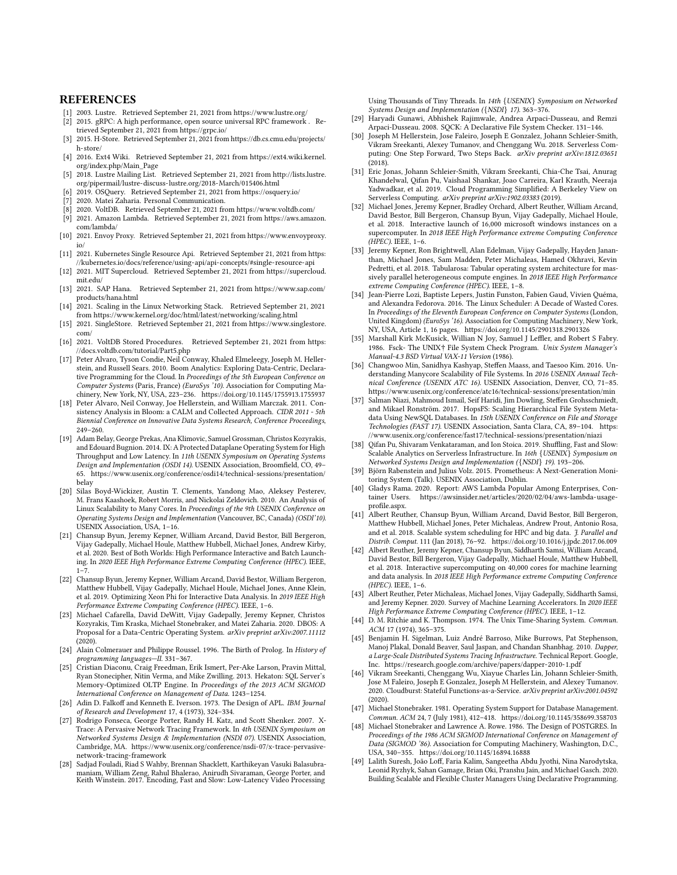#### **REFERENCES**

- <span id="page-8-34"></span>[1] 2003. Lustre. Retrieved September 21, 2021 from<https://www.lustre.org/>
- <span id="page-8-30"></span>[2] 2015. gRPC: A high performance, open source universal RPC framework . Retrieved September 21, 2021 from<https://grpc.io/>
- <span id="page-8-24"></span>[3] 2015. H-Store. Retrieved September 21, 2021 from [https://db.cs.cmu.edu/projects/](https://db.cs.cmu.edu/projects/h-store/) [h-store/](https://db.cs.cmu.edu/projects/h-store/)
- <span id="page-8-32"></span>[4] 2016. Ext4 Wiki. Retrieved September 21, 2021 from [https://ext4.wiki.kernel.](https://ext4.wiki.kernel.org/index.php/Main_Page) [org/index.php/Main\\_Page](https://ext4.wiki.kernel.org/index.php/Main_Page)
- <span id="page-8-35"></span>[5] 2018. Lustre Mailing List. Retrieved September 21, 2021 from [http://lists.lustre.](http://lists.lustre.org/pipermail/lustre-discuss-lustre.org/2018-March/015406.html) [org/pipermail/lustre-discuss-lustre.org/2018-March/015406.html](http://lists.lustre.org/pipermail/lustre-discuss-lustre.org/2018-March/015406.html)
- <span id="page-8-38"></span>[6] 2019. OSQuery. Retrieved September 21, 2021 from<https://osquery.io/>
- <span id="page-8-2"></span>2020. Matei Zaharia. Personal Communication.
- <span id="page-8-23"></span>[8] 2020. VoltDB. Retrieved September 21, 2021 from<https://www.voltdb.com/>
- <span id="page-8-8"></span>[9] 2021. Amazon Lambda. Retrieved September 21, 2021 from [https://aws.amazon.](https://aws.amazon.com/lambda/) [com/lambda/](https://aws.amazon.com/lambda/)
- <span id="page-8-17"></span>[10] 2021. Envoy Proxy. Retrieved September 21, 2021 from [https://www.envoyproxy.](https://www.envoyproxy.io/) [io/](https://www.envoyproxy.io/)
- <span id="page-8-21"></span>[11] 2021. Kubernetes Single Resource Api. Retrieved September 21, 2021 from [https:](https://kubernetes.io/docs/reference/using-api/api-concepts/#single-resource-api) [//kubernetes.io/docs/reference/using-api/api-concepts/#single-resource-api](https://kubernetes.io/docs/reference/using-api/api-concepts/#single-resource-api)
- <span id="page-8-0"></span>[12] 2021. MIT Supercloud. Retrieved September 21, 2021 from [https://supercloud.](https://supercloud.mit.edu/) [mit.edu/](https://supercloud.mit.edu/)
- <span id="page-8-25"></span>[13] 2021. SAP Hana. Retrieved September 21, 2021 from [https://www.sap.com/](https://www.sap.com/products/hana.html) [products/hana.html](https://www.sap.com/products/hana.html)
- <span id="page-8-10"></span>[14] 2021. Scaling in the Linux Networking Stack. Retrieved September 21, 2021 from<https://www.kernel.org/doc/html/latest/networking/scaling.html>
- <span id="page-8-27"></span>[15] 2021. SingleStore. Retrieved September 21, 2021 from [https://www.singlestore.](https://www.singlestore.com/) [com/](https://www.singlestore.com/)
- <span id="page-8-29"></span>[16] 2021. VoltDB Stored Procedures. Retrieved September 21, 2021 from [https:](https://docs.voltdb.com/tutorial/Part5.php) [//docs.voltdb.com/tutorial/Part5.php](https://docs.voltdb.com/tutorial/Part5.php)
- <span id="page-8-44"></span>[17] Peter Alvaro, Tyson Condie, Neil Conway, Khaled Elmeleegy, Joseph M. Hellerstein, and Russell Sears. 2010. Boom Analytics: Exploring Data-Centric, Declarative Programming for the Cloud. In Proceedings of the 5th European Conference on Computer Systems (Paris, France) (EuroSys '10). Association for Computing Machinery, New York, NY, USA, 223–236.<https://doi.org/10.1145/1755913.1755937>
- <span id="page-8-43"></span>[18] Peter Alvaro, Neil Conway, Joe Hellerstein, and William Marczak. 2011. Consistency Analysis in Bloom: a CALM and Collected Approach. CIDR 2011 - 5th Biennial Conference on Innovative Data Systems Research, Conference Proceedings, 249–260.
- <span id="page-8-13"></span>[19] Adam Belay, George Prekas, Ana Klimovic, Samuel Grossman, Christos Kozyrakis, and Edouard Bugnion. 2014. IX: A Protected Dataplane Operating System for High Throughput and Low Latency. In 11th USENIX Symposium on Operating Systems Design and Implementation (OSDI 14). USENIX Association, Broomfield, CO, 49– 65. [https://www.usenix.org/conference/osdi14/technical-sessions/presentation/](https://www.usenix.org/conference/osdi14/technical-sessions/presentation/belay) [belay](https://www.usenix.org/conference/osdi14/technical-sessions/presentation/belay)
- <span id="page-8-11"></span>[20] Silas Boyd-Wickizer, Austin T. Clements, Yandong Mao, Aleksey Pesterev, M. Frans Kaashoek, Robert Morris, and Nickolai Zeldovich. 2010. An Analysis of Linux Scalability to Many Cores. In Proceedings of the 9th USENIX Conference on Operating Systems Design and Implementation (Vancouver, BC, Canada) (OSDI'10). USENIX Association, USA, 1–16.
- <span id="page-8-3"></span>[21] Chansup Byun, Jeremy Kepner, William Arcand, David Bestor, Bill Bergeron, Vijay Gadepally, Michael Houle, Matthew Hubbell, Michael Jones, Andrew Kirby, et al. 2020. Best of Both Worlds: High Performance Interactive and Batch Launching. In 2020 IEEE High Performance Extreme Computing Conference (HPEC). IEEE, 1–7.
- <span id="page-8-5"></span>[22] Chansup Byun, Jeremy Kepner, William Arcand, David Bestor, William Bergeron, Matthew Hubbell, Vijay Gadepally, Michael Houle, Michael Jones, Anne Klein, et al. 2019. Optimizing Xeon Phi for Interactive Data Analysis. In 2019 IEEE High Performance Extreme Computing Conference (HPEC). IEEE, 1–6.
- <span id="page-8-15"></span>[23] Michael Cafarella, David DeWitt, Vijay Gadepally, Jeremy Kepner, Christos Kozyrakis, Tim Kraska, Michael Stonebraker, and Matei Zaharia. 2020. DBOS: A Proposal for a Data-Centric Operating System. arXiv preprint arXiv:2007.11112 (2020).
- <span id="page-8-42"></span>[24] Alain Colmerauer and Philippe Roussel. 1996. The Birth of Prolog. In History of programming languages—II. 331–367.
- <span id="page-8-26"></span>[25] Cristian Diaconu, Craig Freedman, Erik Ismert, Per-Ake Larson, Pravin Mittal, Ryan Stonecipher, Nitin Verma, and Mike Zwilling. 2013. Hekaton: SQL Server's Memory-Optimized OLTP Engine. In Proceedings of the 2013 ACM SIGMOD International Conference on Management of Data. 1243–1254.
- <span id="page-8-41"></span>[26] Adin D. Falkoff and Kenneth E. Iverson. 1973. The Design of APL. IBM Journal of Research and Development 17, 4 (1973), 324–334.
- <span id="page-8-18"></span>[27] Rodrigo Fonseca, George Porter, Randy H. Katz, and Scott Shenker. 2007. X-Trace: A Pervasive Network Tracing Framework. In 4th USENIX Symposium on Networked Systems Design & Implementation (NSDI 07). USENIX Association, Cambridge, MA. [https://www.usenix.org/conference/nsdi-07/x-trace-pervasive](https://www.usenix.org/conference/nsdi-07/x-trace-pervasive-network-tracing-framework)[network-tracing-framework](https://www.usenix.org/conference/nsdi-07/x-trace-pervasive-network-tracing-framework)
- <span id="page-8-45"></span>[28] Sadjad Fouladi, Riad S Wahby, Brennan Shacklett, Karthikeyan Vasuki Balasubramaniam, William Zeng, Rahul Bhalerao, Anirudh Sivaraman, George Porter, and Keith Winstein. 2017. Encoding, Fast and Slow: Low-Latency Video Processing

Using Thousands of Tiny Threads. In 14th {USENIX} Symposium on Networked Systems Design and Implementation ({NSDI} 17). 363–376.

- <span id="page-8-36"></span>[29] Haryadi Gunawi, Abhishek Rajimwale, Andrea Arpaci-Dusseau, and Remzi Arpaci-Dusseau. 2008. SQCK: A Declarative File System Checker. 131–146.
- <span id="page-8-46"></span>[30] Joseph M Hellerstein, Jose Faleiro, Joseph E Gonzalez, Johann Schleier-Smith, Vikram Sreekanti, Alexey Tumanov, and Chenggang Wu. 2018. Serverless Computing: One Step Forward, Two Steps Back. arXiv preprint arXiv:1812.03651 (2018).
- <span id="page-8-47"></span>[31] Eric Jonas, Johann Schleier-Smith, Vikram Sreekanti, Chia-Che Tsai, Anurag Khandelwal, Qifan Pu, Vaishaal Shankar, Joao Carreira, Karl Krauth, Neeraja Yadwadkar, et al. 2019. Cloud Programming Simplified: A Berkeley View on Serverless Computing. arXiv preprint arXiv:1902.03383 (2019).
- <span id="page-8-4"></span>[32] Michael Jones, Jeremy Kepner, Bradley Orchard, Albert Reuther, William Arcand, David Bestor, Bill Bergeron, Chansup Byun, Vijay Gadepally, Michael Houle, et al. 2018. Interactive launch of 16,000 microsoft windows instances on a supercomputer. In 2018 IEEE High Performance extreme Computing Conference  $(HPEC)$ . IEEE, 1-6.
- <span id="page-8-16"></span>[33] Jeremy Kepner, Ron Brightwell, Alan Edelman, Vijay Gadepally, Hayden Jananthan, Michael Jones, Sam Madden, Peter Michaleas, Hamed Okhravi, Kevin Pedretti, et al. 2018. Tabularosa: Tabular operating system architecture for massively parallel heterogeneous compute engines. In 2018 IEEE High Performance extreme Computing Conference (HPEC). IEEE, 1–8.
- <span id="page-8-12"></span>[34] Jean-Pierre Lozi, Baptiste Lepers, Justin Funston, Fabien Gaud, Vivien Quéma, and Alexandra Fedorova. 2016. The Linux Scheduler: A Decade of Wasted Cores. In Proceedings of the Eleventh European Conference on Computer Systems (London, United Kingdom) (EuroSys '16). Association for Computing Machinery, New York, NY, USA, Article 1, 16 pages.<https://doi.org/10.1145/2901318.2901326>
- <span id="page-8-37"></span>[35] Marshall Kirk McKusick, Willian N Joy, Samuel J Leffler, and Robert S Fabry. 1986. Fsck- The UNIX† File System Check Program. Unix System Manager's Manual-4.3 BSD Virtual VAX-11 Version (1986).
- <span id="page-8-33"></span>[36] Changwoo Min, Sanidhya Kashyap, Steffen Maass, and Taesoo Kim. 2016. Understanding Manycore Scalability of File Systems. In 2016 USENIX Annual Technical Conference (USENIX ATC 16). USENIX Association, Denver, CO, 71–85. <https://www.usenix.org/conference/atc16/technical-sessions/presentation/min>
- <span id="page-8-22"></span>[37] Salman Niazi, Mahmoud Ismail, Seif Haridi, Jim Dowling, Steffen Grohsschmiedt, and Mikael Ronström. 2017. HopsFS: Scaling Hierarchical File System Metadata Using NewSQL Databases. In 15th USENIX Conference on File and Storage Technologies (FAST 17). USENIX Association, Santa Clara, CA, 89–104. [https:](https://www.usenix.org/conference/fast17/technical-sessions/presentation/niazi) [//www.usenix.org/conference/fast17/technical-sessions/presentation/niazi](https://www.usenix.org/conference/fast17/technical-sessions/presentation/niazi)
- <span id="page-8-48"></span>[38] Qifan Pu, Shivaram Venkataraman, and Ion Stoica. 2019. Shuffling, Fast and Slow: Scalable Analytics on Serverless Infrastructure. In 16th {USENIX} Symposium on Networked Systems Design and Implementation ({NSDI} 19). 193–206.
- <span id="page-8-19"></span>[39] Björn Rabenstein and Julius Volz. 2015. Prometheus: A Next-Generation Monitoring System (Talk). USENIX Association, Dublin.
- <span id="page-8-9"></span>[40] Gladys Rama. 2020. Report: AWS Lambda Popular Among Enterprises, Container Users. [https://awsinsider.net/articles/2020/02/04/aws-lambda-usage](https://awsinsider.net/articles/2020/02/04/aws-lambda-usage-profile.aspx)[profile.aspx.](https://awsinsider.net/articles/2020/02/04/aws-lambda-usage-profile.aspx)
- <span id="page-8-7"></span>[41] Albert Reuther, Chansup Byun, William Arcand, David Bestor, Bill Bergeron, Matthew Hubbell, Michael Jones, Peter Michaleas, Andrew Prout, Antonio Rosa, and et al. 2018. Scalable system scheduling for HPC and big data. J. Parallel and Distrib. Comput. 111 (Jan 2018), 76–92.<https://doi.org/10.1016/j.jpdc.2017.06.009>
- <span id="page-8-1"></span>[42] Albert Reuther, Jeremy Kepner, Chansup Byun, Siddharth Samsi, William Arcand, David Bestor, Bill Bergeron, Vijay Gadepally, Michael Houle, Matthew Hubbell, et al. 2018. Interactive supercomputing on 40,000 cores for machine learning and data analysis. In 2018 IEEE High Performance extreme Computing Conference (HPEC). IEEE, 1–6.
- <span id="page-8-6"></span>[43] Albert Reuther, Peter Michaleas, Michael Jones, Vijay Gadepally, Siddharth Samsi, and Jeremy Kepner. 2020. Survey of Machine Learning Accelerators. In 2020 IEEE High Performance Extreme Computing Conference (HPEC). IEEE, 1–12.
- <span id="page-8-14"></span>[44] D. M. Ritchie and K. Thompson. 1974. The Unix Time-Sharing System. Commun. ACM 17 (1974), 365–375.
- <span id="page-8-20"></span>[45] Benjamin H. Sigelman, Luiz André Barroso, Mike Burrows, Pat Stephenson, Manoj Plakal, Donald Beaver, Saul Jaspan, and Chandan Shanbhag. 2010. Dapper, a Large-Scale Distributed Systems Tracing Infrastructure. Technical Report. Google, Inc.<https://research.google.com/archive/papers/dapper-2010-1.pdf>
- <span id="page-8-39"></span>[46] Vikram Sreekanti, Chenggang Wu, Xiayue Charles Lin, Johann Schleier-Smith, Jose M Faleiro, Joseph E Gonzalez, Joseph M Hellerstein, and Alexey Tumanov. 2020. Cloudburst: Stateful Functions-as-a-Service. arXiv preprint arXiv:2001.04592  $(2020)$
- <span id="page-8-28"></span>[47] Michael Stonebraker. 1981. Operating System Support for Database Management. Commun. ACM 24, 7 (July 1981), 412–418.<https://doi.org/10.1145/358699.358703>
- <span id="page-8-31"></span>[48] Michael Stonebraker and Lawrence A. Rowe. 1986. The Design of POSTGRES. In Proceedings of the 1986 ACM SIGMOD International Conference on Management of Data (SIGMOD '86). Association for Computing Machinery, Washington, D.C., USA, 340–355.<https://doi.org/10.1145/16894.16888>
- <span id="page-8-40"></span>[49] Lalith Suresh, João Loff, Faria Kalim, Sangeetha Abdu Jyothi, Nina Narodytska, Leonid Ryzhyk, Sahan Gamage, Brian Oki, Pranshu Jain, and Michael Gasch. 2020. Building Scalable and Flexible Cluster Managers Using Declarative Programming.